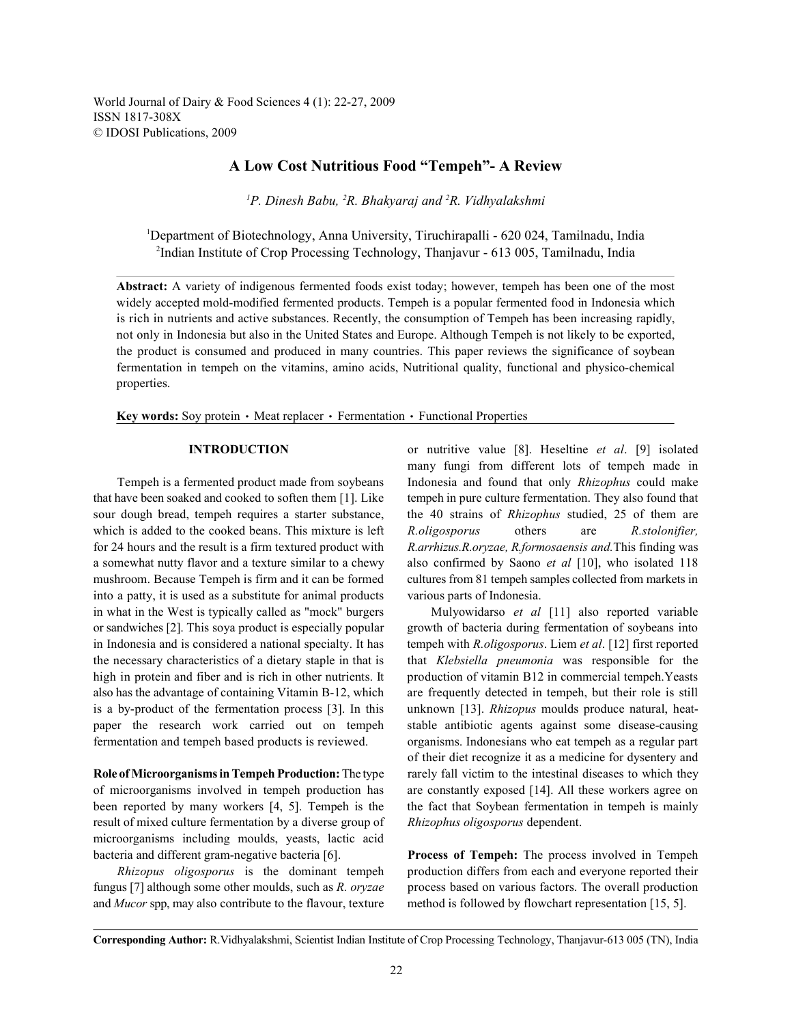World Journal of Dairy & Food Sciences 4 (1): 22-27, 2009 ISSN 1817-308X © IDOSI Publications, 2009

# **A Low Cost Nutritious Food "Tempeh"- A Review**

<sup>*P*</sup>P. Dinesh Babu, <sup>2</sup>R. Bhakyaraj and <sup>2</sup>R. Vidhyalakshmi

<sup>1</sup>Department of Biotechnology, Anna University, Tiruchirapalli - 620 024, Tamilnadu, India <sup>2</sup>Indian Institute of Crop Processing Technology, Thanjavur - 613 005, Tamilnadu, India

**Abstract:** A variety of indigenous fermented foods exist today; however, tempeh has been one of the most widely accepted mold-modified fermented products. Tempeh is a popular fermented food in Indonesia which is rich in nutrients and active substances. Recently, the consumption of Tempeh has been increasing rapidly, not only in Indonesia but also in the United States and Europe. Although Tempeh is not likely to be exported, the product is consumed and produced in many countries. This paper reviews the significance of soybean fermentation in tempeh on the vitamins, amino acids, Nutritional quality, functional and physico-chemical properties.

**Key words:** Soy protein • Meat replacer • Fermentation • Functional Properties

that have been soaked and cooked to soften them [1]. Like tempeh in pure culture fermentation. They also found that sour dough bread, tempeh requires a starter substance, the 40 strains of *Rhizophus* studied, 25 of them are which is added to the cooked beans. This mixture is left *R.oligosporus* others are *R.stolonifier,* for 24 hours and the result is a firm textured product with *R.arrhizus.R.oryzae, R.formosaensis and.*This finding was a somewhat nutty flavor and a texture similar to a chewy also confirmed by Saono *et al* [10], who isolated 118 mushroom. Because Tempeh is firm and it can be formed cultures from 81 tempeh samples collected from markets in into a patty, it is used as a substitute for animal products various parts of Indonesia. in what in the West is typically called as "mock" burgers Mulyowidarso *et al* [11] also reported variable or sandwiches [2]. This soya product is especially popular growth of bacteria during fermentation of soybeans into in Indonesia and is considered a national specialty. It has tempeh with *R.oligosporus*. Liem *et al*. [12] first reported the necessary characteristics of a dietary staple in that is that *Klebsiella pneumonia* was responsible for the high in protein and fiber and is rich in other nutrients. It production of vitamin B12 in commercial tempeh.Yeasts also has the advantage of containing Vitamin B-12, which are frequently detected in tempeh, but their role is still is a by-product of the fermentation process [3]. In this unknown [13]. *Rhizopus* moulds produce natural, heatpaper the research work carried out on tempeh stable antibiotic agents against some disease-causing fermentation and tempeh based products is reviewed. organisms. Indonesians who eat tempeh as a regular part

of microorganisms involved in tempeh production has are constantly exposed [14]. All these workers agree on been reported by many workers [4, 5]. Tempeh is the the fact that Soybean fermentation in tempeh is mainly result of mixed culture fermentation by a diverse group of *Rhizophus oligosporus* dependent. microorganisms including moulds, yeasts, lactic acid bacteria and different gram-negative bacteria [6]. **Process of Tempeh:** The process involved in Tempeh

fungus [7] although some other moulds, such as *R. oryzae* process based on various factors. The overall production and *Mucor* spp, may also contribute to the flavour, texture method is followed by flowchart representation [15, 5].

**INTRODUCTION** or nutritive value [8]. Heseltine *et al*. [9] isolated Tempeh is a fermented product made from soybeans Indonesia and found that only *Rhizophus* could make many fungi from different lots of tempeh made in

**Role of Microorganisms in Tempeh Production:** The type rarely fall victim to the intestinal diseases to which they of their diet recognize it as a medicine for dysentery and

*Rhizopus oligosporus* is the dominant tempeh production differs from each and everyone reported their

**Corresponding Author:** R.Vidhyalakshmi, Scientist Indian Institute of Crop Processing Technology, Thanjavur-613 005 (TN), India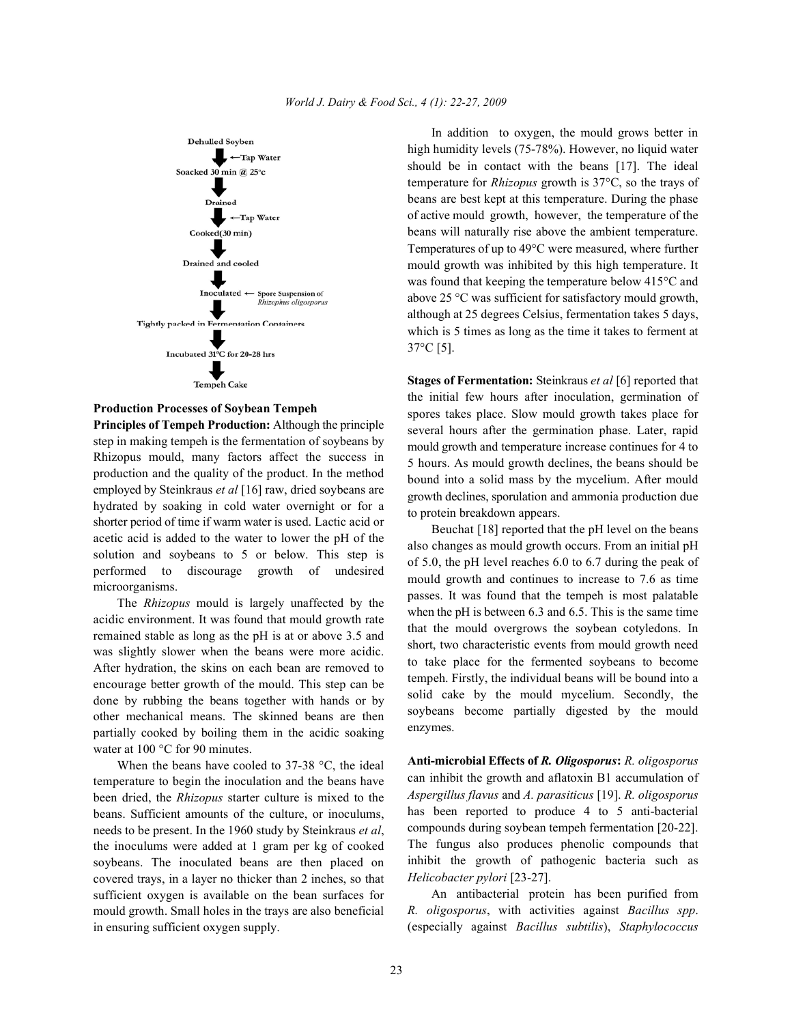

### **Production Processes of Soybean Tempeh**

**Principles of Tempeh Production:** Although the principle step in making tempeh is the fermentation of soybeans by Rhizopus mould, many factors affect the success in production and the quality of the product. In the method employed by Steinkraus *et al* [16] raw, dried soybeans are hydrated by soaking in cold water overnight or for a shorter period of time if warm water is used. Lactic acid or acetic acid is added to the water to lower the pH of the solution and soybeans to 5 or below. This step is performed to discourage growth of undesired microorganisms.

The *Rhizopus* mould is largely unaffected by the acidic environment. It was found that mould growth rate remained stable as long as the pH is at or above 3.5 and was slightly slower when the beans were more acidic. After hydration, the skins on each bean are removed to encourage better growth of the mould. This step can be done by rubbing the beans together with hands or by other mechanical means. The skinned beans are then partially cooked by boiling them in the acidic soaking water at 100 °C for 90 minutes.

When the beans have cooled to 37-38 °C, the ideal temperature to begin the inoculation and the beans have been dried, the *Rhizopus* starter culture is mixed to the beans. Sufficient amounts of the culture, or inoculums, needs to be present. In the 1960 study by Steinkraus *et al*, the inoculums were added at 1 gram per kg of cooked soybeans. The inoculated beans are then placed on covered trays, in a layer no thicker than 2 inches, so that sufficient oxygen is available on the bean surfaces for mould growth. Small holes in the trays are also beneficial in ensuring sufficient oxygen supply.

In addition to oxygen, the mould grows better in high humidity levels (75-78%). However, no liquid water should be in contact with the beans [17]. The ideal temperature for *Rhizopus* growth is 37°C, so the trays of beans are best kept at this temperature. During the phase of active mould growth, however, the temperature of the beans will naturally rise above the ambient temperature. Temperatures of up to 49°C were measured, where further mould growth was inhibited by this high temperature. It was found that keeping the temperature below 415°C and above 25 °C was sufficient for satisfactory mould growth, although at 25 degrees Celsius, fermentation takes 5 days, which is 5 times as long as the time it takes to ferment at 37°C [5].

**Stages of Fermentation:** Steinkraus *et al* [6] reported that the initial few hours after inoculation, germination of spores takes place. Slow mould growth takes place for several hours after the germination phase. Later, rapid mould growth and temperature increase continues for 4 to 5 hours. As mould growth declines, the beans should be bound into a solid mass by the mycelium. After mould growth declines, sporulation and ammonia production due to protein breakdown appears.

Beuchat [18] reported that the pH level on the beans also changes as mould growth occurs. From an initial pH of 5.0, the pH level reaches 6.0 to 6.7 during the peak of mould growth and continues to increase to 7.6 as time passes. It was found that the tempeh is most palatable when the pH is between 6.3 and 6.5. This is the same time that the mould overgrows the soybean cotyledons. In short, two characteristic events from mould growth need to take place for the fermented soybeans to become tempeh. Firstly, the individual beans will be bound into a solid cake by the mould mycelium. Secondly, the soybeans become partially digested by the mould enzymes.

**Anti-microbial Effects of** *R. Oligosporus***:** *R. oligosporus* can inhibit the growth and aflatoxin B1 accumulation of *Aspergillus flavus* and *A. parasiticus* [19]. *R. oligosporus* has been reported to produce 4 to 5 anti-bacterial compounds during soybean tempeh fermentation [20-22]. The fungus also produces phenolic compounds that inhibit the growth of pathogenic bacteria such as *Helicobacter pylori* [23-27].

An antibacterial protein has been purified from *R. oligosporus*, with activities against *Bacillus spp*. (especially against *Bacillus subtilis*), *Staphylococcus*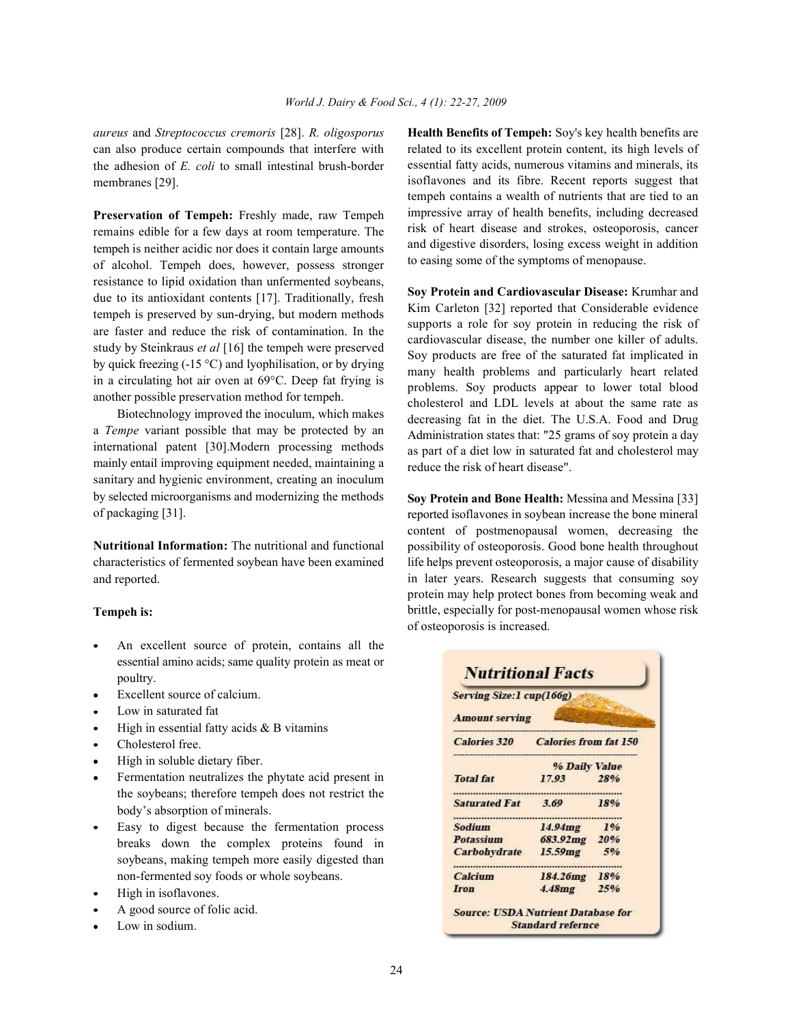can also produce certain compounds that interfere with the adhesion of *E. coli* to small intestinal brush-border membranes [29].

**Preservation of Tempeh:** Freshly made, raw Tempeh remains edible for a few days at room temperature. The tempeh is neither acidic nor does it contain large amounts of alcohol. Tempeh does, however, possess stronger resistance to lipid oxidation than unfermented soybeans, due to its antioxidant contents [17]. Traditionally, fresh tempeh is preserved by sun-drying, but modern methods are faster and reduce the risk of contamination. In the study by Steinkraus *et al* [16] the tempeh were preserved by quick freezing (-15 °C) and lyophilisation, or by drying in a circulating hot air oven at 69°C. Deep fat frying is another possible preservation method for tempeh.

Biotechnology improved the inoculum, which makes a *Tempe* variant possible that may be protected by an international patent [30].Modern processing methods mainly entail improving equipment needed, maintaining a sanitary and hygienic environment, creating an inoculum by selected microorganisms and modernizing the methods of packaging [31].

**Nutritional Information:** The nutritional and functional characteristics of fermented soybean have been examined and reported.

## **Tempeh is:**

- An excellent source of protein, contains all the essential amino acids; same quality protein as meat or poultry.
- Excellent source of calcium.
- Low in saturated fat
- High in essential fatty acids  $&B$  vitamins
- Cholesterol free.
- High in soluble dietary fiber.
- Fermentation neutralizes the phytate acid present in the soybeans; therefore tempeh does not restrict the body's absorption of minerals.
- Easy to digest because the fermentation process breaks down the complex proteins found in soybeans, making tempeh more easily digested than non-fermented soy foods or whole soybeans.
- High in isoflavones.
- A good source of folic acid.
- Low in sodium.

*aureus* and *Streptococcus cremoris* [28]. *R. oligosporus* **Health Benefits of Tempeh:** Soy's key health benefits are related to its excellent protein content, its high levels of essential fatty acids, numerous vitamins and minerals, its isoflavones and its fibre. Recent reports suggest that tempeh contains a wealth of nutrients that are tied to an impressive array of health benefits, including decreased risk of heart disease and strokes, osteoporosis, cancer and digestive disorders, losing excess weight in addition to easing some of the symptoms of menopause.

> **Soy Protein and Cardiovascular Disease:** Krumhar and Kim Carleton [32] reported that Considerable evidence supports a role for soy protein in reducing the risk of cardiovascular disease, the number one killer of adults. Soy products are free of the saturated fat implicated in many health problems and particularly heart related problems. Soy products appear to lower total blood cholesterol and LDL levels at about the same rate as decreasing fat in the diet. The U.S.A. Food and Drug Administration states that: "25 grams of soy protein a day as part of a diet low in saturated fat and cholesterol may reduce the risk of heart disease".

> **Soy Protein and Bone Health:** Messina and Messina [33] reported isoflavones in soybean increase the bone mineral content of postmenopausal women, decreasing the possibility of osteoporosis. Good bone health throughout life helps prevent osteoporosis, a major cause of disability in later years. Research suggests that consuming soy protein may help protect bones from becoming weak and brittle, especially for post-menopausal women whose risk of osteoporosis is increased.

| Serving Size: 1 cup(166g)<br><b>Amount serving</b> |                              |     |  |  |
|----------------------------------------------------|------------------------------|-----|--|--|
| <b>Calories 320</b>                                | <b>Calories from fat 150</b> |     |  |  |
|                                                    | % Daily Value                |     |  |  |
| <b>Total fat</b>                                   | 17.93                        | 28% |  |  |
| <b>Saturated Fat</b>                               | 3.69                         | 18% |  |  |
| <b>Sodium</b>                                      | 14.94mg                      | 1%  |  |  |
| <b>Potassium</b>                                   | 683.92mg 20%                 |     |  |  |
| <b>Carbohydrate</b>                                | 15.59mg 5%                   |     |  |  |
| Calcium                                            | 184.26mg 18%                 |     |  |  |
| <b>Iron</b>                                        | 4.48mg                       | 25% |  |  |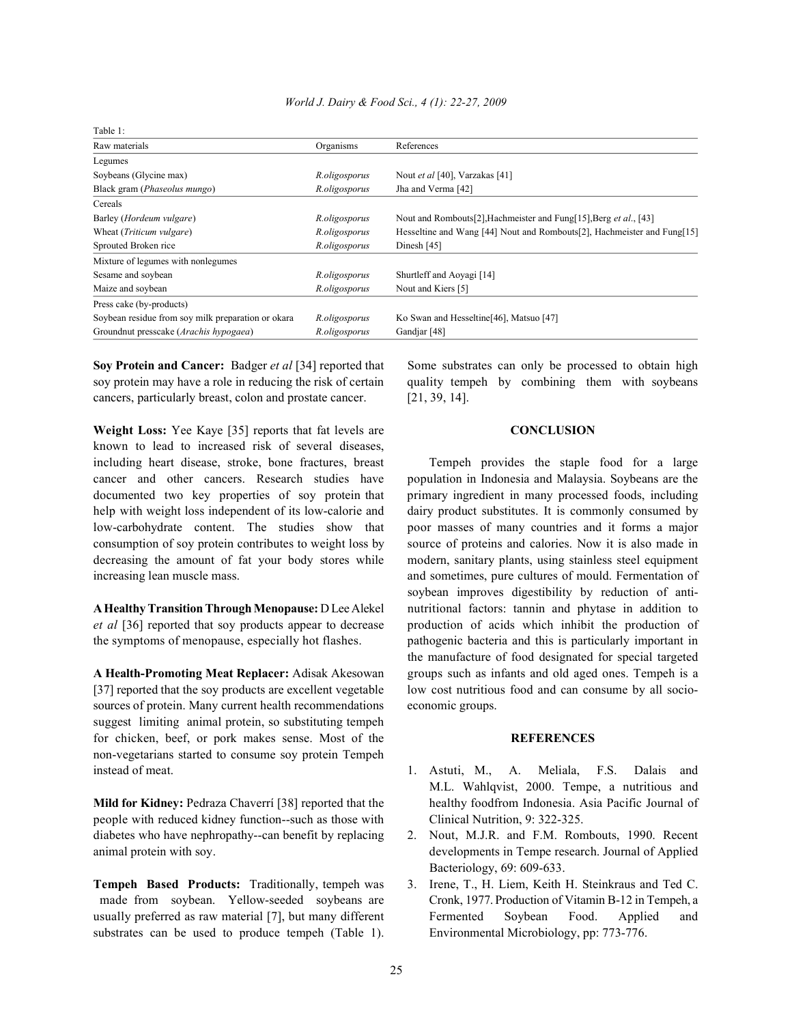| Table 1:                                           |               |                                                                         |
|----------------------------------------------------|---------------|-------------------------------------------------------------------------|
| Raw materials                                      | Organisms     | References                                                              |
| Legumes                                            |               |                                                                         |
| Soybeans (Glycine max)                             | R.oligosporus | Nout et al [40], Varzakas [41]                                          |
| Black gram (Phaseolus mungo)                       | R.oligosporus | Jha and Verma [42]                                                      |
| Cereals                                            |               |                                                                         |
| Barley (Hordeum vulgare)                           | R.oligosporus | Nout and Rombouts[2], Hachmeister and Fung[15], Berg et al., [43]       |
| Wheat ( <i>Triticum vulgare</i> )                  | R.oligosporus | Hesseltine and Wang [44] Nout and Rombouts[2], Hachmeister and Fung[15] |
| Sprouted Broken rice                               | R.oligosporus | Dinesh [45]                                                             |
| Mixture of legumes with nonlegumes                 |               |                                                                         |
| Sesame and soybean                                 | R.oligosporus | Shurtleff and Aoyagi [14]                                               |
| Maize and soybean                                  | R.oligosporus | Nout and Kiers [5]                                                      |
| Press cake (by-products)                           |               |                                                                         |
| Soybean residue from soy milk preparation or okara | R.oligosporus | Ko Swan and Hesseltine [46], Matsuo [47]                                |
| Groundnut presscake (Arachis hypogaea)             | R.oligosporus | Gandjar [48]                                                            |

soy protein may have a role in reducing the risk of certain quality tempeh by combining them with soybeans cancers, particularly breast, colon and prostate cancer. [21, 39, 14].

**Weight Loss:** Yee Kaye [35] reports that fat levels are **CONCLUSION** known to lead to increased risk of several diseases, including heart disease, stroke, bone fractures, breast Tempeh provides the staple food for a large cancer and other cancers. Research studies have population in Indonesia and Malaysia. Soybeans are the documented two key properties of soy protein that primary ingredient in many processed foods, including help with weight loss independent of its low-calorie and dairy product substitutes. It is commonly consumed by low-carbohydrate content. The studies show that poor masses of many countries and it forms a major consumption of soy protein contributes to weight loss by source of proteins and calories. Now it is also made in decreasing the amount of fat your body stores while modern, sanitary plants, using stainless steel equipment increasing lean muscle mass.  $\qquad \qquad \text{and sometimes, pure cultures of mould. Fermentation of}$ 

[37] reported that the soy products are excellent vegetable low cost nutritious food and can consume by all sociosources of protein. Many current health recommendations economic groups. suggest limiting animal protein, so substituting tempeh for chicken, beef, or pork makes sense. Most of the **REFERENCES** non-vegetarians started to consume soy protein Tempeh instead of meat. 1. Astuti, M., A. Meliala, F.S. Dalais and

people with reduced kidney function--such as those with Clinical Nutrition, 9: 322-325. diabetes who have nephropathy--can benefit by replacing 2. Nout, M.J.R. and F.M. Rombouts, 1990. Recent

substrates can be used to produce tempeh (Table 1). Environmental Microbiology, pp: 773-776.

**Soy Protein and Cancer:** Badger *et al* [34] reported that Some substrates can only be processed to obtain high

**A Healthy Transition Through Menopause:** D Lee Alekel nutritional factors: tannin and phytase in addition to *et al* [36] reported that soy products appear to decrease production of acids which inhibit the production of the symptoms of menopause, especially hot flashes. pathogenic bacteria and this is particularly important in **A Health-Promoting Meat Replacer:** Adisak Akesowan groups such as infants and old aged ones. Tempeh is a soybean improves digestibility by reduction of antithe manufacture of food designated for special targeted

- **Mild for Kidney:** Pedraza Chaverrí [38] reported that the healthy foodfrom Indonesia. Asia Pacific Journal of M.L. Wahlqvist, 2000. Tempe, a nutritious and
- animal protein with soy. developments in Tempe research. Journal of Applied Bacteriology, 69: 609-633.
- **Tempeh Based Products:** Traditionally, tempeh was 3. Irene, T., H. Liem, Keith H. Steinkraus and Ted C. made from soybean. Yellow-seeded soybeans are Cronk, 1977. Production of Vitamin B-12 in Tempeh, a usually preferred as raw material [7], but many different Fermented Soybean Food. Applied and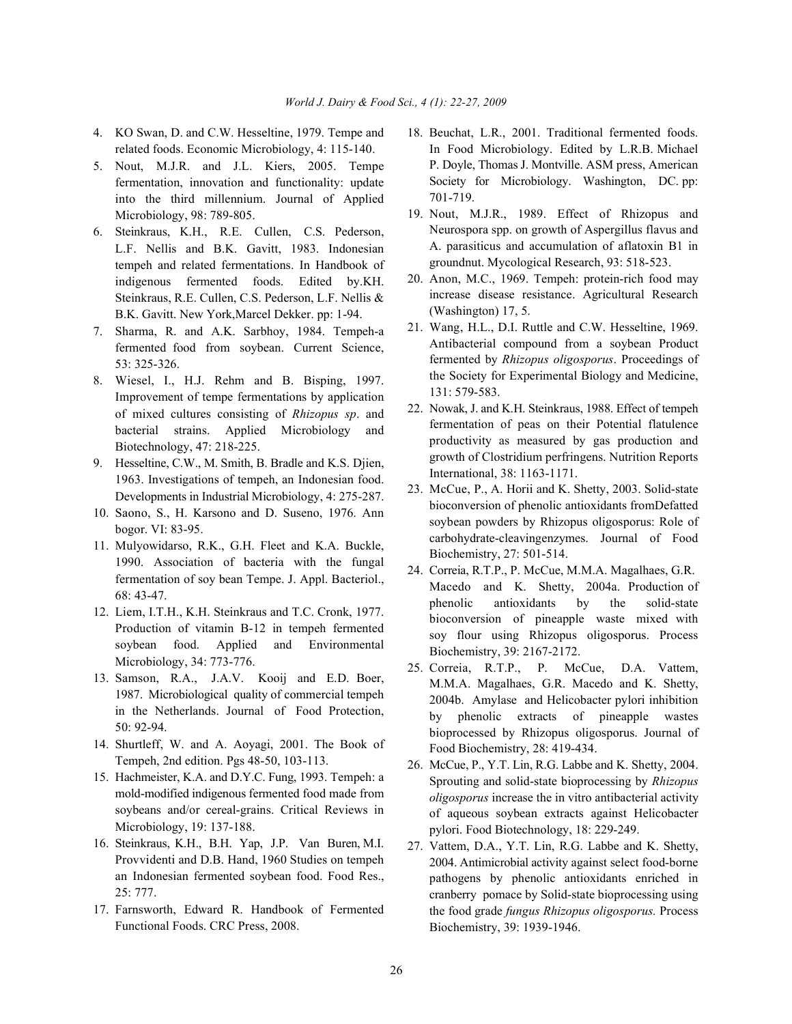- 4. KO Swan, D. and C.W. Hesseltine, 1979. Tempe and 18. Beuchat, L.R., 2001. Traditional fermented foods. related foods. Economic Microbiology, 4: 115-140.
- 5. Nout, M.J.R. and J.L. Kiers, 2005. Tempe fermentation, innovation and functionality: update into the third millennium. Journal of Applied Microbiology, 98: 789-805.
- 6. Steinkraus, K.H., R.E. Cullen, C.S. Pederson, L.F. Nellis and B.K. Gavitt, 1983. Indonesian tempeh and related fermentations. In Handbook of indigenous fermented foods. Edited by.KH. Steinkraus, R.E. Cullen, C.S. Pederson, L.F. Nellis & B.K. Gavitt. New York,Marcel Dekker. pp: 1-94.
- 7. Sharma, R. and A.K. Sarbhoy, 1984. Tempeh-a fermented food from soybean. Current Science, 53: 325-326.
- 8. Wiesel, I., H.J. Rehm and B. Bisping, 1997. Improvement of tempe fermentations by application of mixed cultures consisting of *Rhizopus sp*. and bacterial strains. Applied Microbiology and Biotechnology, 47: 218-225.
- 9. Hesseltine, C.W., M. Smith, B. Bradle and K.S. Djien, 1963. Investigations of tempeh, an Indonesian food. Developments in Industrial Microbiology, 4: 275-287.
- 10. Saono, S., H. Karsono and D. Suseno, 1976. Ann bogor. VI: 83-95.
- 11. Mulyowidarso, R.K., G.H. Fleet and K.A. Buckle, 1990. Association of bacteria with the fungal fermentation of soy bean Tempe. J. Appl. Bacteriol., 68: 43-47.
- 12. Liem, I.T.H., K.H. Steinkraus and T.C. Cronk, 1977. Production of vitamin B-12 in tempeh fermented soybean food. Applied and Environmental Microbiology, 34: 773-776.
- 13. Samson, R.A., J.A.V. Kooij and E.D. Boer, 1987. Microbiological quality of commercial tempeh in the Netherlands. Journal of Food Protection, 50: 92-94.
- 14. Shurtleff, W. and A. Aoyagi, 2001. The Book of Tempeh, 2nd edition. Pgs 48-50, 103-113.
- 15. Hachmeister, K.A. and D.Y.C. Fung, 1993. Tempeh: a mold-modified indigenous fermented food made from soybeans and/or cereal-grains. Critical Reviews in Microbiology, 19: 137-188.
- 16. Steinkraus, K.H., B.H. Yap, J.P. Van Buren, M.I. Provvidenti and D.B. Hand, 1960 Studies on tempeh an Indonesian fermented soybean food. Food Res., 25: 777.
- 17. Farnsworth, Edward R. Handbook of Fermented Functional Foods. CRC Press, 2008.
- In Food Microbiology. Edited by L.R.B. Michael P. Doyle, Thomas J. Montville. ASM press, American Society for Microbiology. Washington, DC. pp: 701-719.
- 19. Nout, M.J.R., 1989. Effect of Rhizopus and Neurospora spp. on growth of Aspergillus flavus and A. parasiticus and accumulation of aflatoxin B1 in groundnut. Mycological Research, 93: 518-523.
- 20. Anon, M.C., 1969. Tempeh: protein-rich food may increase disease resistance. Agricultural Research (Washington) 17, 5.
- 21. Wang, H.L., D.I. Ruttle and C.W. Hesseltine, 1969. Antibacterial compound from a soybean Product fermented by *Rhizopus oligosporus*. Proceedings of the Society for Experimental Biology and Medicine, 131: 579-583.
- 22. Nowak, J. and K.H. Steinkraus, 1988. Effect of tempeh fermentation of peas on their Potential flatulence productivity as measured by gas production and growth of Clostridium perfringens. Nutrition Reports International, 38: 1163-1171.
- 23. McCue, P., A. Horii and K. Shetty, 2003. Solid-state bioconversion of phenolic antioxidants fromDefatted soybean powders by Rhizopus oligosporus: Role of carbohydrate-cleavingenzymes. Journal of Food Biochemistry, 27: 501-514.
- 24. Correia, R.T.P., P. McCue, M.M.A. Magalhaes, G.R. Macedo and K. Shetty, 2004a. Production of phenolic antioxidants by the solid-state bioconversion of pineapple waste mixed with soy flour using Rhizopus oligosporus. Process Biochemistry, 39: 2167-2172.
- 25. Correia, R.T.P., P. McCue, D.A. Vattem, M.M.A. Magalhaes, G.R. Macedo and K. Shetty, 2004b. Amylase and Helicobacter pylori inhibition by phenolic extracts of pineapple wastes bioprocessed by Rhizopus oligosporus. Journal of Food Biochemistry, 28: 419-434.
- 26. McCue, P., Y.T. Lin, R.G. Labbe and K. Shetty, 2004. Sprouting and solid-state bioprocessing by *Rhizopus oligosporus* increase the in vitro antibacterial activity of aqueous soybean extracts against Helicobacter pylori. Food Biotechnology, 18: 229-249.
- 27. Vattem, D.A., Y.T. Lin, R.G. Labbe and K. Shetty, 2004. Antimicrobial activity against select food-borne pathogens by phenolic antioxidants enriched in cranberry pomace by Solid-state bioprocessing using the food grade *fungus Rhizopus oligosporus.* Process Biochemistry, 39: 1939-1946.